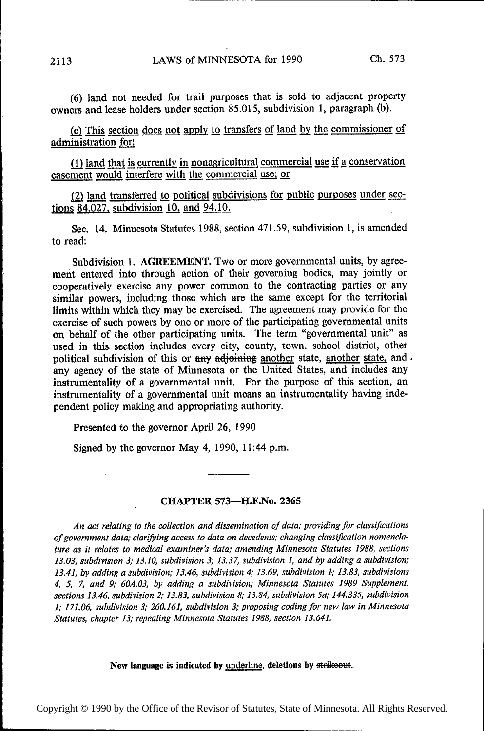(6) land not needed for trail purposes that is sold to adjacent property owners and lease holders under section 85.015, subdivision 1, paragraph (b).

(c) This section does not apply to transfers of land by the commissioner of administration for:

(1) land that is currently in nonagricultural commercial use if a conservation easement would interfere with the commercial use; or

(2) land transferred to political subdivisions for public purposes under sections  $84.027$ , subdivision 10, and  $94.10$ .

See. 14. Minnesota Statutes 1988, section 471.59, subdivision 1, is amended to read:

Subdivision 1. AGREEMENT. Two or more governmental units, by agreement entered into through action of their governing bodies, may jointly or cooperatively exercise any power common to the contracting parties or any similar powers, including those which are the same except for the territorial limits within which they may be exercised. The agreement may provide for the exercise of such powers by one or more of the participating governmental units on behalf of the other participating units. The term "governmental unit" as used in this section includes every city, county, town, school district, other political subdivision of this or  $\frac{any}{x}$  and  $\frac{dy}{dx}$  another state, another state, and  $\frac{dy}{dx}$ any agency of the state of Minnesota or the United States, and includes any instrumentality of a governmental unit. For the purpose of this section, an instrumentality of a governmental unit means an instrumentality having independent policy making and appropriating authority.

Presented to the governor April 26, 1990

Signed by the governor May 4, 1990, 11:44 p.m.

### CHAPTER 573—H.F.No. 2365

An act relating to the collection and dissemination of data; providing for classifications of government data; clarifying access to data on decedents; changing classification nomenclature as it relates to medical examiner's data; amending Minnesota Statutes 1988, sections 13.03, subdivision 3; 13.10, subdivision 3; 13.37, subdivision 1, and by adding a subdivision; 13.41, by adding a subdivision; 13.46, subdivision 4; 13.69, subdivision 1; 13.83, subdivisions 4, 5, 7, and 9; 60A.03. by adding a subdivision; Minnesota Statutes 1989 Supplement, sections 13.46, subdivision 2; 13.83, subdivision 8; 13.84, subdivision 5a; 144.335, subdivision 1; 171.06, subdivision 3; 260.161, subdivision 3; proposing coding for new law in Minnesota Statutes, chapter 13; repealing Minnesota Statutes 1988, section 13.64].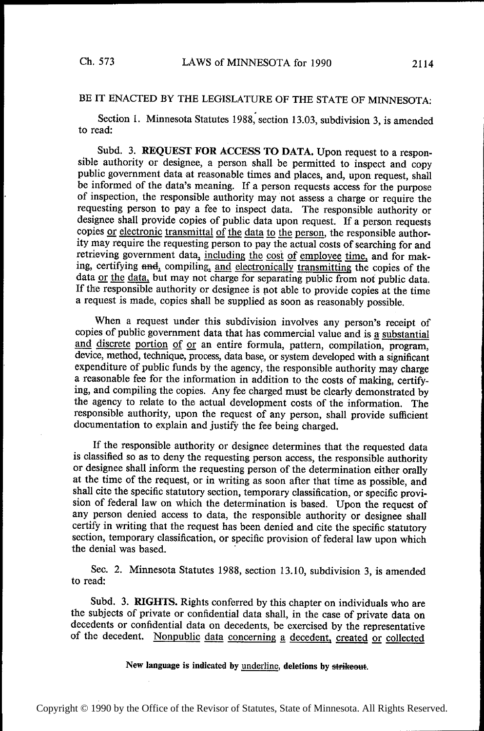# BE IT ENACTED BY THE LEGISLATURE OF THE STATE OF MINNESOTA:

Section 1. Minnesota Statutes 1988, section 13.03, subdivision 3, is amended to read:

Subd. 3. REQUEST FOR ACCESS TO DATA. Upon request to a responsible authority or designee, a person shall. be permitted to inspect and copy public government data at reasonable times and places, and, upon request, shall be informed of the data's meaning. If a person requests access for the purpose of inspection, the responsible authority may not assess a charge or require the requesting person to pay a fee to inspect data. The responsible authority or designee shall provide copies of public data upon request. If a person requests copies or electronic transmittal of the data to the person, the responsible authority may require the requesting person to pay the actual costs of searching for and retrieving government data, including the cost of employee time, and for making, certifying and, compiling, and electronically transmitting the copies of the data <u>or the data</u>, but may not charge for separating public from not public data. If the responsible authority or designee is not able to provide copies at the time a request is made, copies shall be supplied as soon as reasonably possible.

When a request under this subdivision involves any person's receipt of copies of public government data that has commercial value and is a substantial and discrete portion of or an entire formula, pattern, compilation, program, device, method, technique, process, data base, or system developed with a significant expenditure of public funds by the agency, the responsible authority may charge a reasonable fee for the information in addition to the costs of making, certifying, and compiling the copies. Any fee charged must be clearly demonstrated by the agency to relate to the actual development costs of the information. The responsible authority, upon the request of any person, shall provide sufficient documentation to explain and justify the fee being charged.

If the responsible authority or designee determines that the requested data is classified so as to deny the requesting person access, the responsible authority or designee shall inform the requesting person of the determination either orally at the time of the request, or in writing as soon after that time as possible, and shall cite the specific statutory section, temporary classification, or specific provision of federal law on which the determination is based. Upon the request of any person denied access to data, the responsible authority or designee shall certify in writing that the request has been denied and cite the specific statutory section, temporary classification, or specific provision of federal law upon which the denial was based. '

Sec. 2. Minnesota Statutes 1988, section 13.10, subdivision 3, is amended to read:

Subd. 3. RIGHTS. Rights conferred by this chapter on individuals who are the subjects of private or confidential data shall, in the case of private data on decedents or confidential data on decedents, be exercised by the representative of the decedent. Nonpublic data concerning a decedent, created or collected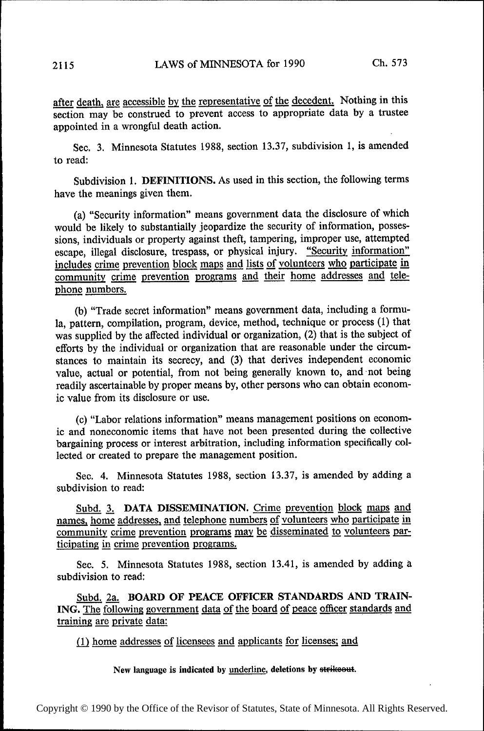after death, are accessible by the representative of the decedent. Nothing in this section may be construed to prevent access to appropriate data by a trustee appointed in a wrongful death action.

Sec. 3. Minnesota Statutes 1988, section 13.37, subdivision 1, is amended to read:

Subdivision 1. DEFINITIONS. As used in this section, the following terms have the meanings given them.

(a) "Security information" means government data the disclosure of which would be likely to substantially jeopardize the security of information, possessions, individuals or property against theft, tampering, improper use, attempted escape, illegal disclosure, trespass, or physical injury. "Security information" includes crime prevention block maps and lists of volunteers who participate in community crime prevention programs and their home addresses and telephone numbers.

(b) "Trade secret information" means government data, including a formula, pattern, compilation, program, device, method, technique or process (1) that was supplied by the affected individual or organization, (2) that is the subject of efforts by the individual or organization that are reasonable under the circumstances to maintain its secrecy, and (3) that derives independent economic value, actual or potential, from not being generally known to, and not being readily ascertainable by proper means by, other persons who can obtain economic value from its disclosure or use.

(c) "Labor relations information" means management positions on economic and noneconomic items that have not been presented during the collective bargaining process or interest arbitration, including information specifically collected or created to prepare the management position.

Sec. 4. Minnesota Statutes 1988, section 13.37, is amended by adding a subdivision to read:

Subd. 3. DATA DISSEMINATION. Crime prevention block maps and names, home addresses, and telephone numbers of volunteers who participate in community crime prevention programs may be disseminated to volunteers participating in crime prevention programs.

Sec. 5. Minnesota Statutes 1988, section 13.41, is amended by adding a subdivision to read:

Subd. 2a. BOARD OF PEACE OFFICER STANDARDS AND TRAIN-ING. The following government data of the board of peace officer standards and training are private data:

(1) home addresses of licensees and applicants for licenses; and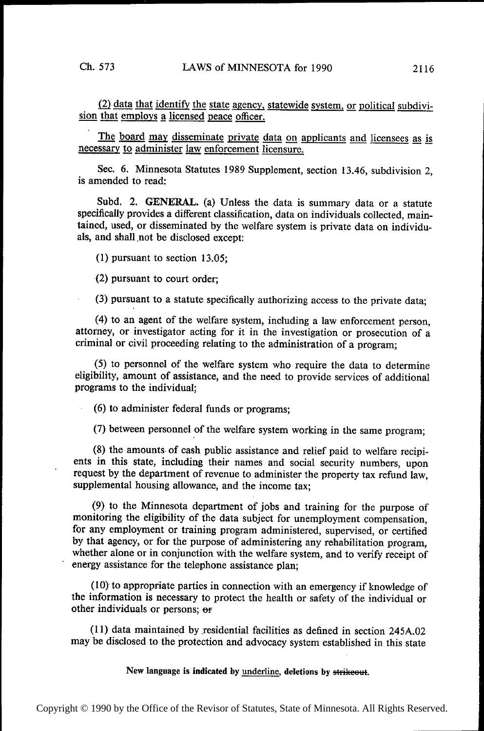$(2)$  data that identify the state agency, statewide system, or political subdivision that employs a licensed peace officer.

The board may disseminate private data on applicants and licensees as is necessary to administer law enforcement licensure.

Sec. 6. Minnesota Statutes l989 Supplement, section 13.46, subdivision 2, is amended to read:

Subd. 2. GENERAL. (a) Unless the data is summary data or a statute specifically provides a different classification, data on individuals collected, maintained, used, or disseminated by the welfare system is private data on individuals, and shall not be disclosed except:

(1) pursuant to section 13.05;

(2) pursuant to court order;

(3) pursuant to a statute specifically authorizing access to the private data;

(4) to an agent of the welfare system, including a law enforcement person, attorney, or investigator acting for it in the investigation or prosecution of a criminal or civil proceeding relating to the administration of a program;

(5) to personnel of the welfare system who require the data to determine eligibility, amount of assistance, and the need to provide services of additional programs to the individual;

(6) to administer federal funds or programs;

(7) between personnel of the welfare system working in the same program;

(8) the amounts» of cash public assistance and relief paid to welfare recipients in this state, including their names and social security numbers, upon request by the department of revenue to administer the property tax refund law, supplemental housing allowance, and the income tax;

(9) to the Minnesota department of jobs and training for the purpose of monitoring the eligibility of the data subject for unemployment compensation, for any employment or training program administered, supervised, or certified by that agency, or for the purpose of administering any rehabilitation program, whether alone or in conjunction with the welfare system, and to verify receipt of energy assistance for the telephone assistance plan;

(10) to appropriate parties in connection with an emergency if knowledge of the information is necessary to protect the health or safety of the individual or other individuals or persons; or

(11) data maintained by residential facilities as defined in section 245A.02 may be disclosed to the protection and advocacy system established in this state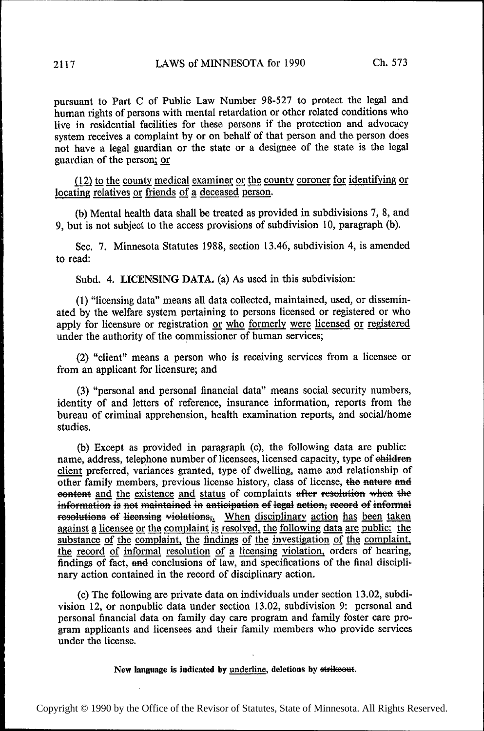pursuant to Part C of Public Law Number 98-527 to protect the legal and human rights of persons with mental retardation or other related conditions who live in residential facilities for these persons if the protection and advocacy system receives a complaint by or on behalf of that person and the person does not have a legal guardian or the state or a designee of the state is the legal guardian of the person; or

 $(12)$  to the county medical examiner or the county coroner for identifying or locating relatives or friends of a deceased person.

(b) Mental health data shall be treated as provided in subdivisions 7, 8, and 9, but is not subject to the access provisions of subdivision 10, paragraph (b).

Sec. 7. Minnesota Statutes 1988, section 13.46, subdivision 4, is amended to read:

Subd. 4. LICENSING DATA. (a) As used in this subdivision:

(1) "licensing data" means all data collected, maintained, used, or disseminated by the welfare system pertaining to persons licensed or registered or who apply for licensure or registration or who formerly were licensed or registered under the authority of the commissioner of human services;

(2) "client" means a person who is receiving services from a licensee or from an applicant for licensure; and

(3) "personal and personal financial data" means social security numbers, identity of and letters of reference, insurance information, reports from the bureau of criminal apprehension, health examination reports, and social/home studies.

(b) Except as provided in paragraph (c), the following data are public: name, address, telephone number of licensees, licensed capacity, type of ehildren client preferred, variances granted, type of dwelling, name and relationship of other family members, previous license history, class of license, the nature and eontent <u>and the existence and status</u> of complaints after resolution when the information is not maintained in anticipation of legal action, record of informal resolutions of licensing violations,. When disciplinary action has been taken against a licensee or the complaint is resolved, the following data are public: the substance of the complaint, the findings of the investigation of the complaint, the record of informal resolution of a licensing violation, orders of hearing, findings of fact, and conclusions of law, and specifications of the final disciplinary action contained in the record of disciplinary action.

(0) The following are private data on individuals under section 13.02, subdivision 12, or nonpublic data under section 13.02, subdivision 9: personal and personal financial data on family day care program and family foster care program applicants and licensees and their family members who provide services under the license.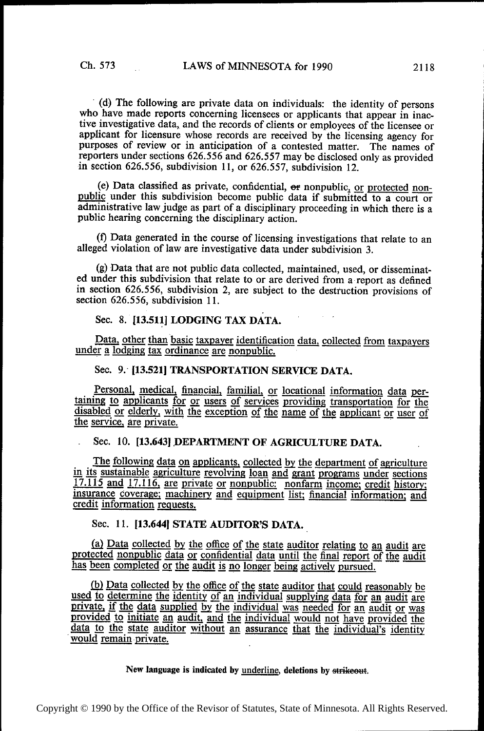(d) The following are private data on individuals: the identity of persons who have made reports concerning licensees or applicants that appear in inactive investigative data, and the records of clients or employees of the licensee or applicant for licensure whose records are received by the licensing agency for purposes of review or in anticipation of a contested matter. The names of reporters under sections 626.556 and 626.557 may be disclosed only as provided in section 626.556, subdivision 11, or 626.557, subdivision 12.

(e) Data classified as private, confidential,  $er$  nonpublic, or protected nonpublic under this subdivision become public data if submitted to a court or administrative law judge as part of a disciplinary proceeding in which there is a public hearing concerning the disciplinary action.

(D Data generated in the course of licensing investigations that relate to an alleged violation of law are investigative data under subdivision 3.

(g) Data that are not public data collected, maintained, used, or disseminated under this subdivision that relate to or are derived from a-report as defined in section 626.556, subdivision 2, are subject to the destruction provisions of section 626.556, subdivision 11.

## Sec. 8. [13.511] LODGING TAX DATA.

Data, other than basic taxpayer identification data, collected from taxpayers under a lodging tax ordinance are nonpublic.

#### Sec. 9. [13.521] TRANSPORTATION SERVICE DATA.

Personal, medical, financial, familial, or locational information data per-<br>taining to applicants for or users of services providing transportation for the taining to applicants for or users of services providing transportation for the disabled or elderly, with the exception of the name of the applicant or user of the service, are private. ' ' '

## Sec. 10. [13.643] DEPARTMENT OF AGRICULTURE DATA.

The following data on applicants, collected by the department of agriculture in its sustainable agriculture revolving loan and grant programs under sections 17.115 and 17.116, are private or nonpublic: nonfarm income; credit history; credit information requests. instruction and the process of monphonet. Homein income, create insury;<br>insurance coverage; machinery and equipment list; financial information; and<br>credit information requests.

## Sec. 11. [13.644] STATE AUDITOR'S DATA.

(a) Data collected by the office of the state auditor relating to an audit are protected nonpublic data or confidential data until the final report of the audit has been completed or the audit is no longer being actively pursued.

(b) Data collected by the office of the state auditor that could reasonably be used to determine the identity of an individual supplying data for an audit are private, if the data supplied by the individual was needed for provided to initiate an audit, and the individual would not have provided the data to the state auditor without an assurance that the individual's identity would remain private.

#### New language is indicated by underline, deletions by strike out.

Copyright © 1990 by the Office of the Revisor of Statutes, State of Minnesota. All Rights Reserved.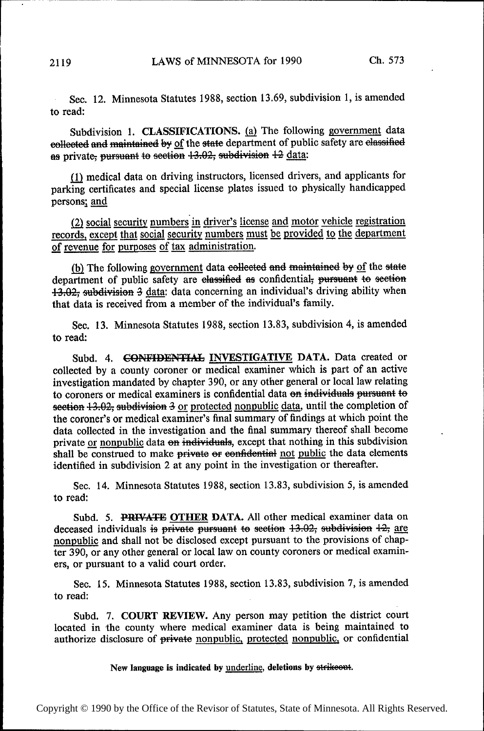Sec. 12. Minnesota Statutes 1988, section 13.69, subdivision 1, is amended to read:

Subdivision 1. CLASSIFICATIONS. (a) The following government data eollected and maintained by of the state department of public safety are elassified as private, pursuant to section 13.02, subdivision 12 data:

Q) medical data on driving instructors, licensed drivers, and applicants for parking certificates and special license plates issued to physically handicapped persons; and

(2) social security numbers in driver's license and motor vehicle registration records, except that social security numbers must be provided to the department (2) social security numbers in driver's lice<br>records, except that social security numbers m<br>of revenue for purposes of tax administration.<br>(b) The following government data collect

 $(b)$  The following government data eelleeted and maintained by  $of$  the state department of public safety are elassified as confidential; pursuant to section 13.02; subdivision 3 data: data concerning an individual's driving ability when that data is received from a member of the individual's family.

Sec. 13. Minnesota Statutes 1988, section 13.83, subdivision 4, is amended to read:

Subd. 4. **GONFIDENTIAL INVESTIGATIVE DATA.** Data created or collected by a county coroner or medical examiner which is part of an active investigation mandated by chapter 390, or any other general or local law relating to coroners or medical examiners is confidential data on individuals pursuant to section  $13.02$ , subdivision 3 or protected nonpublic data, until the completion of the coroner's or medical examiner's final summary of findings at which point the data collected in the investigation and the final summary thereof shall become private or nonpublic data on individuals, except that nothing in this subdivision shall be construed to make private or eonfidential not public the data elements identified in subdivision 2 at any point in the investigation or thereafter.

Sec. 14. Minnesota Statutes 1988, section 13.83, subdivision 5, is amended to read:

Subd. 5. PRIVATE OTHER DATA. All other medical examiner data on deceased individuals is private pursuant to section  $13.02$ , subdivision  $12$ , are nonpublic and shall not be disclosed except pursuant to the provisions of chapter 390, or any other general or local law on county coroners or medical examiners, or pursuant to a valid court order.

Sec. 15. Minnesota Statutes 1988, section 13.83, subdivision 7, is amended to read:

Subd. 7. COURT REVIEW. Any person may petition the district court located in the county where medical examiner data is being maintained to authorize disclosure of private nonpublic, protected nonpublic, or confidential

New language is indicated by underline, deletions by strikeout.

Copyright © 1990 by the Office of the Revisor of Statutes, State of Minnesota. All Rights Reserved.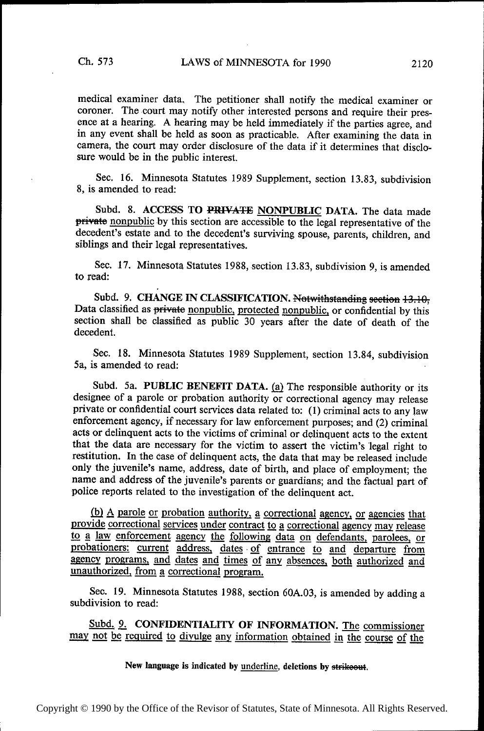medical examiner data. The petitioner shall notify the medical examiner or coroner. The court may notify other interested persons and require their presence at a hearing. A hearing may be held immediately if the parties agree, and in any event shall be held as soon as practicable. After examining the data in camera, the court may order disclosure of the data if it determines that disclosure would be in the public interest.

See. 16. Minnesota Statutes 1989 Supplement, section 13.83, subdivision 8, is amended to read:

Subd. 8. ACCESS TO PRIVATE NONPUBLIC DATA. The data made private nonpublic by this section are accessible to the legal representative of the decedent's estate and to the decedent's surviving spouse, parents, children, and siblings and their legal representatives.

Sec. 17. Minnesota Statutes 1988, section 13.83, subdivision 9, is amended to read:

Subd. 9. CHANGE IN CLASSIFICATION. Notwithstanding section 13.10; Data classified as private nonpublic, protected nonpublic, or confidential by this section shall be classified as public 30 years after the date of death of the decedent.

Sec. 18. Minnesota Statutes 1989 Supplement, section 13.84, subdivision 5a, is amended to read: '

Subd. 5a. PUBLIC BENEFIT DATA.  $(a)$  The responsible authority or its designee of a parole or probation authority or correctional agency may release private or confidential court services data related to: (1) criminal acts to any law enforcement agency, if necessary for law enforcement purposes; and (2) criminal acts or delinquent acts to the victims of criminal or delinquent acts to the extent that the data are necessary for the victim to assert the victim's legal right to restitution. In the case of delinquent acts, the data that may be released include only the juvenile's name, address, date of birth, and place of employment; the name and address of the juvenile's parents or guardians; and the factual part of police reports related to the investigation of the delinquent act.

provide correctional services under contract  $\underline{(b)}$  A parole or probation authority,<br>ide correctional services under contra a correctional agency, or agencies that<br>act to a correctional agency may release<br>ving data on defendants, parolees, or to a law enforcement agency the following data on defendants, parolees, or probationers: current address, dates of entrance to and departure from agency programs, and dates and times of any absences, both authorized and unauthorized, from a correctional program.

See. 19. Minnesota Statutes 1988, section 60A.03, is amended by adding a subdivision to read:

Subd. 9. CONFIDENTIALITY OF INFORMATION. The commissioner may not be required to divulge any information obtained in the course of the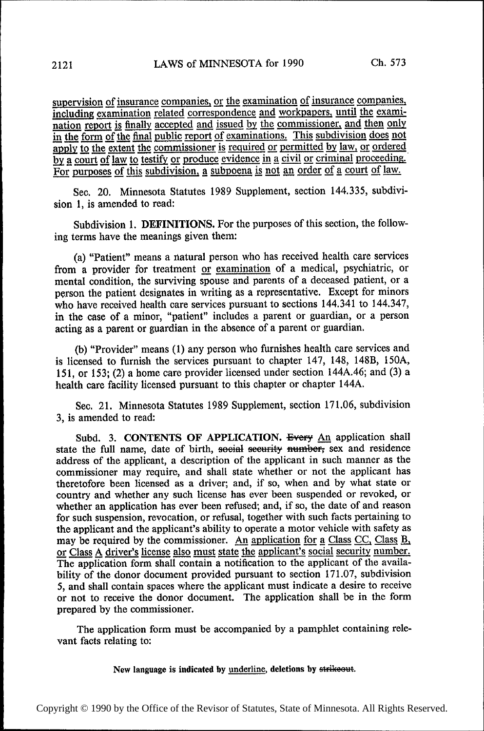supervision of insurance companies, or the examination of insurance companies, including examination related correspondence and workpapers, until the examination report is finally accepted and issued by the commissioner, and then only in the form of the final public report of examinations. This subdivision does not apply to the extent the commissioner is required or permitted by law, or ordered by a court of law to testify or produce evidence in a civil or criminal proceeding. For purposes of this subdivision, a subpoena is not an order of a court of law.

Sec. 20. Minnesota Statutes 1989 Supplement, section 144.335, subdivision 1, is amended to read:

Subdivision 1. DEFINITIONS. For the purposes of this section, the following terms have the meanings given them:

(a) "Patient" means a natural person who has received health care services from a provider for treatment or examination of a medical, psychiatric, or mental condition, the surviving spouse and parents of a deceased patient, or a person the patient designates in writing as a representative. Except for minors who have received health care services pursuant to sections 144.341 to 144.347, in the case of a minor, "patient" includes a parent or guardian, or a person acting as a parent or guardian in the absence of a parent or guardian.

(b) "Provider" means (1) any person who furnishes health care services and is licensed to furnish the services pursuant to chapter 147, 148, 148B, 150A, 151, or 153; (2) a home care provider licensed under section l44A.46; and (3) a health care facility licensed pursuant to this chapter or chapter 144A.

Sec. 21. Minnesota Statutes 1989 Supplement, section 171.06, subdivision 3, is amended to read:

Subd. 3. CONTENTS OF APPLICATION. Every An application shall state the full name, date of birth, social security number, sex and residence address of the applicant, a description of the applicant in such manner as the commissioner may require, and shall state whether or not the applicant has theretofore been licensed as a driver; and, if so, when and by what state or country and whether any such license has ever been suspended or revoked, or whether an application has ever been refused; and, if so, the date of and reason for such suspension, revocation, or refusal, together with such facts pertaining to the applicant and the applicant's ability to operate a motor vehicle with safety as may be required by the commissioner. An application for a Class CC, Class  $B<sub>1</sub>$ , or Class A driver's license also must state the applicant's social security number. The application form shall contain a notification to the applicant of the availability of the donor document provided pursuant to section 171.07, subdivision 5, and shall contain spaces where the applicant must indicate a desire to receive or not to receive the donor document. The application shall be in the form prepared by the commissioner.

The application form must be accompanied by a pamphlet containing relevant facts relating to: